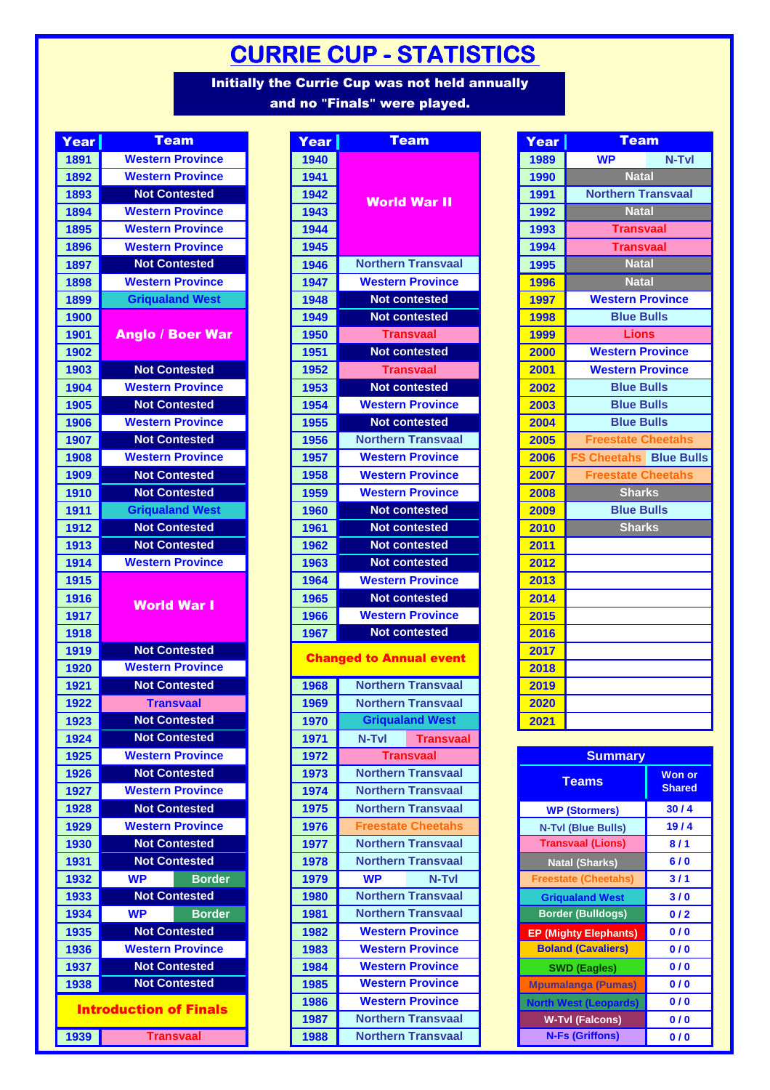## **CURRIE CUP - STATISTICS**

Initially the Currie Cup was not held annually and no **"**Finals**"** were played.

| <b>Year</b> | <b>Team</b>                   | Year       |
|-------------|-------------------------------|------------|
| 1891        | <b>Western Province</b>       | 1940       |
| 1892        | <b>Western Province</b>       | 1941       |
| 1893        | <b>Not Contested</b>          | 1942       |
| 1894        | <b>Western Province</b>       | 1943       |
| 1895        | <b>Western Province</b>       | 1944       |
| 1896        | <b>Western Province</b>       | 1945       |
| 1897        | <b>Not Contested</b>          | 1946       |
| 1898        | <b>Western Province</b>       | 1947       |
| 1899        | <b>Griqualand West</b>        | 1948       |
| 1900        |                               | 1949       |
| 1901        | Anglo / Boer War              | 1950       |
| 1902        |                               | 1951       |
| 1903        | <b>Not Contested</b>          | 1952       |
| 1904        | <b>Western Province</b>       | 1953       |
| 1905        | <b>Not Contested</b>          | 1954       |
| 1906        | <b>Western Province</b>       | 1955       |
| 1907        | <b>Not Contested</b>          | 1956       |
| 1908        | <b>Western Province</b>       | 1957       |
| 1909        | <b>Not Contested</b>          | 1958       |
| 1910        | <b>Not Contested</b>          | 1959       |
| 1911        | <b>Griqualand West</b>        | 1960       |
| 1912        | <b>Not Contested</b>          | 1961       |
| 1913        | <b>Not Contested</b>          | 1962       |
| 1914        | <b>Western Province</b>       | 1963       |
| 1915        |                               | 1964       |
| 1916        | <b>World War I</b>            | 1965       |
| 1917        |                               | 1966       |
| 1918        |                               | 1967       |
| 1919        | <b>Not Contested</b>          | <b>Cha</b> |
| 1920        | <b>Western Province</b>       |            |
| 1921        | <b>Not Contested</b>          | 1968       |
| 1922        | <b>Transvaal</b>              | 1969       |
| 1923        | <b>Not Contested</b>          | 1970       |
| 1924        | <b>Not Contested</b>          | 1971       |
| 1925        | <b>Western Province</b>       | 1972       |
| 1926        | <b>Not Contested</b>          | 1973       |
| 1927        | <b>Western Province</b>       | 1974       |
| 1928        | <b>Not Contested</b>          | 1975       |
| 1929        | <b>Western Province</b>       | 1976       |
| 1930        | <b>Not Contested</b>          | 1977       |
| 1931        | <b>Not Contested</b>          | 1978       |
| 1932        | <b>WP</b><br><b>Border</b>    | 1979       |
| 1933        | <b>Not Contested</b>          | 1980       |
| 1934        | <b>WP</b><br><b>Border</b>    | 1981       |
| 1935        | <b>Not Contested</b>          | 1982       |
| 1936        | <b>Western Province</b>       | 1983       |
| 1937        | <b>Not Contested</b>          | 1984       |
| 1938        | <b>Not Contested</b>          | 1985       |
|             | <b>Introduction of Finals</b> | 1986       |
| 1939        |                               | 1987       |
|             | <b>Transvaal</b>              | 1988       |

| Year | <b>Team</b>                   | Year | <b>Team</b>                    | Year | <b>Team</b>                  |                            |
|------|-------------------------------|------|--------------------------------|------|------------------------------|----------------------------|
| 1891 | <b>Western Province</b>       | 1940 |                                | 1989 | <b>WP</b>                    | N-Tvl                      |
| 1892 | <b>Western Province</b>       | 1941 |                                | 1990 | <b>Natal</b>                 |                            |
| 1893 | <b>Not Contested</b>          | 1942 |                                | 1991 | <b>Northern Transvaal</b>    |                            |
| 1894 | <b>Western Province</b>       | 1943 | <b>World War II</b>            | 1992 | <b>Natal</b>                 |                            |
| 1895 | <b>Western Province</b>       | 1944 |                                | 1993 | <b>Transvaal</b>             |                            |
| 1896 | <b>Western Province</b>       | 1945 |                                | 1994 | <b>Transvaal</b>             |                            |
| 1897 | <b>Not Contested</b>          | 1946 | <b>Northern Transvaal</b>      | 1995 | <b>Natal</b>                 |                            |
| 1898 | <b>Western Province</b>       | 1947 | <b>Western Province</b>        | 1996 | <b>Natal</b>                 |                            |
| 1899 | <b>Griqualand West</b>        | 1948 | <b>Not contested</b>           | 1997 | <b>Western Province</b>      |                            |
| 1900 |                               | 1949 | <b>Not contested</b>           | 1998 | <b>Blue Bulls</b>            |                            |
| 1901 | <b>Anglo / Boer War</b>       | 1950 | <b>Transvaal</b>               | 1999 | <b>Lions</b>                 |                            |
| 1902 |                               | 1951 | <b>Not contested</b>           | 2000 | <b>Western Province</b>      |                            |
| 1903 | <b>Not Contested</b>          | 1952 | <b>Transvaal</b>               | 2001 | <b>Western Province</b>      |                            |
| 1904 | <b>Western Province</b>       | 1953 | <b>Not contested</b>           | 2002 | <b>Blue Bulls</b>            |                            |
| 1905 | <b>Not Contested</b>          | 1954 | <b>Western Province</b>        | 2003 | <b>Blue Bulls</b>            |                            |
| 1906 | <b>Western Province</b>       | 1955 | <b>Not contested</b>           | 2004 | <b>Blue Bulls</b>            |                            |
| 1907 | <b>Not Contested</b>          | 1956 | <b>Northern Transvaal</b>      | 2005 | <b>Freestate Cheetahs</b>    |                            |
| 1908 | <b>Western Province</b>       | 1957 | <b>Western Province</b>        | 2006 |                              | <b>Cheetahs</b> Blue Bulls |
| 1909 | <b>Not Contested</b>          | 1958 | <b>Western Province</b>        | 2007 | <b>Freestate Cheetahs</b>    |                            |
| 1910 | <b>Not Contested</b>          | 1959 | <b>Western Province</b>        | 2008 | <b>Sharks</b>                |                            |
| 1911 | <b>Griqualand West</b>        | 1960 | <b>Not contested</b>           | 2009 | <b>Blue Bulls</b>            |                            |
| 1912 | <b>Not Contested</b>          | 1961 | <b>Not contested</b>           | 2010 | <b>Sharks</b>                |                            |
| 1913 | <b>Not Contested</b>          | 1962 | <b>Not contested</b>           | 2011 |                              |                            |
| 1914 | <b>Western Province</b>       | 1963 | <b>Not contested</b>           | 2012 |                              |                            |
| 1915 |                               | 1964 | <b>Western Province</b>        | 2013 |                              |                            |
| 1916 | <b>World War I</b>            | 1965 | <b>Not contested</b>           | 2014 |                              |                            |
| 1917 |                               | 1966 | <b>Western Province</b>        | 2015 |                              |                            |
| 1918 |                               | 1967 | <b>Not contested</b>           | 2016 |                              |                            |
| 1919 | <b>Not Contested</b>          |      | <b>Changed to Annual event</b> | 2017 |                              |                            |
| 1920 | <b>Western Province</b>       |      |                                | 2018 |                              |                            |
| 1921 | <b>Not Contested</b>          | 1968 | <b>Northern Transvaal</b>      | 2019 |                              |                            |
| 1922 | <b>Transvaal</b>              | 1969 | <b>Northern Transvaal</b>      | 2020 |                              |                            |
| 1923 | <b>Not Contested</b>          | 1970 | <b>Grigualand West</b>         | 2021 |                              |                            |
| 1924 | <b>Not Contested</b>          | 1971 | N-Tvl<br><b>Transvaal</b>      |      |                              |                            |
| 1925 | <b>Western Province</b>       | 1972 | <b>Transvaal</b>               |      | <b>Summary</b>               |                            |
| 1926 | <b>Not Contested</b>          | 1973 | <b>Northern Transvaal</b>      |      | <b>Teams</b>                 | <b>Won or</b>              |
| 1927 | <b>Western Province</b>       | 1974 | <b>Northern Transvaal</b>      |      |                              | <b>Shared</b>              |
| 1928 | <b>Not Contested</b>          | 1975 | <b>Northern Transvaal</b>      |      | <b>WP (Stormers)</b>         | 30/4                       |
| 1929 | <b>Western Province</b>       | 1976 | <b>Freestate Cheetahs</b>      |      | <b>N-Tvl (Blue Bulls)</b>    | 19/4                       |
| 1930 | <b>Not Contested</b>          | 1977 | <b>Northern Transvaal</b>      |      | <b>Transvaal (Lions)</b>     | 8/1                        |
| 1931 | <b>Not Contested</b>          | 1978 | <b>Northern Transvaal</b>      |      | <b>Natal (Sharks)</b>        | 6/0                        |
| 1932 | <b>WP</b><br><b>Border</b>    | 1979 | <b>WP</b><br>N-Tvl             |      | <b>Freestate (Cheetahs)</b>  | 3/1                        |
| 1933 | <b>Not Contested</b>          | 1980 | <b>Northern Transvaal</b>      |      | <b>Griqualand West</b>       | 3/0                        |
| 1934 | <b>WP</b><br><b>Border</b>    | 1981 | <b>Northern Transvaal</b>      |      | <b>Border (Bulldogs)</b>     | 0/2                        |
| 1935 | <b>Not Contested</b>          | 1982 | <b>Western Province</b>        |      | <b>EP (Mighty Elephants)</b> | 0/0                        |
| 1936 | <b>Western Province</b>       | 1983 | <b>Western Province</b>        |      | <b>Boland (Cavaliers)</b>    | 0/0                        |
| 1937 | <b>Not Contested</b>          | 1984 | <b>Western Province</b>        |      | <b>SWD (Eagles)</b>          | 0/0                        |
| 1938 | <b>Not Contested</b>          | 1985 | <b>Western Province</b>        |      | <b>Mpumalanga (Pumas)</b>    | 0/0                        |
|      | <b>Introduction of Finals</b> | 1986 | <b>Western Province</b>        |      | <b>North West (Leopards)</b> | 0/0                        |
|      |                               | 1987 | <b>Northern Transvaal</b>      |      | <b>W-Tvl (Falcons)</b>       | 0/0                        |
| 1939 | <b>Transvaal</b>              | 1988 | <b>Northern Transvaal</b>      |      | <b>N-Fs (Griffons)</b>       | 0/0                        |

| <b>Team</b>             | Year | <b>Team</b>                  |
|-------------------------|------|------------------------------|
|                         | 1989 | <b>WP</b><br>N-Tvl           |
|                         | 1990 | <b>Natal</b>                 |
| Norld War II            | 1991 | <b>Northern Transvaal</b>    |
|                         | 1992 | <b>Natal</b>                 |
|                         | 1993 | <b>Transvaal</b>             |
|                         | 1994 | <b>Transvaal</b>             |
| rthern Transvaal        | 1995 | <b>Natal</b>                 |
| estern Province         | 1996 | <b>Natal</b>                 |
| <b>Not contested</b>    | 1997 | <b>Western Province</b>      |
| <b>Not contested</b>    | 1998 | <b>Blue Bulls</b>            |
| <b>Transvaal</b>        | 1999 | <b>Lions</b>                 |
| <b>Not contested</b>    | 2000 | <b>Western Province</b>      |
| <b>Transvaal</b>        | 2001 | <b>Western Province</b>      |
| <b>Not contested</b>    | 2002 | <b>Blue Bulls</b>            |
| estern Province         | 2003 | <b>Blue Bulls</b>            |
| <b>Not contested</b>    | 2004 | <b>Blue Bulls</b>            |
| <b>rthern Transvaal</b> | 2005 | <b>Freestate Cheetahs</b>    |
| estern Province         | 2006 | <b>S Cheetahs</b> Blue Bulls |
| estern Province         | 2007 | <b>Freestate Cheetahs</b>    |
| estern Province         | 2008 | <b>Sharks</b>                |
| <b>Not contested</b>    | 2009 | <b>Blue Bulls</b>            |
| <b>Not contested</b>    | 2010 | <b>Sharks</b>                |
| <b>Not contested</b>    | 2011 |                              |
| <b>Not contested</b>    | 2012 |                              |
| estern Province         | 2013 |                              |
| <b>Not contested</b>    | 2014 |                              |
| estern Province         | 2015 |                              |
| <b>Not contested</b>    | 2016 |                              |
| o Annual event          | 2017 |                              |
|                         | 2018 |                              |
| <b>rthern Transvaal</b> | 2019 |                              |
| <b>rthern Transvaal</b> | 2020 |                              |
| <b>riqualand West</b>   | 2021 |                              |

| <b>Summary</b>               |                                |  |  |  |  |  |  |  |  |
|------------------------------|--------------------------------|--|--|--|--|--|--|--|--|
| <b>Teams</b>                 | <b>Won or</b><br><b>Shared</b> |  |  |  |  |  |  |  |  |
| <b>WP (Stormers)</b>         | 30/4                           |  |  |  |  |  |  |  |  |
| <b>N-Tvl (Blue Bulls)</b>    | 19/4                           |  |  |  |  |  |  |  |  |
| <b>Transvaal (Lions)</b>     | 8/1                            |  |  |  |  |  |  |  |  |
| <b>Natal (Sharks)</b>        | 6/0                            |  |  |  |  |  |  |  |  |
| <b>Freestate (Cheetahs)</b>  | 3/1                            |  |  |  |  |  |  |  |  |
| <b>Grigualand West</b>       | 3/0                            |  |  |  |  |  |  |  |  |
| <b>Border (Bulldogs)</b>     | 0/2                            |  |  |  |  |  |  |  |  |
| <b>EP (Mighty Elephants)</b> | 0/0                            |  |  |  |  |  |  |  |  |
| <b>Boland (Cavaliers)</b>    | 0/0                            |  |  |  |  |  |  |  |  |
| <b>SWD (Eagles)</b>          | 0/0                            |  |  |  |  |  |  |  |  |
| <b>Mpumalanga (Pumas)</b>    | 0/0                            |  |  |  |  |  |  |  |  |
| <b>North West (Leopards)</b> | 0/0                            |  |  |  |  |  |  |  |  |
| <b>W-Tvl (Falcons)</b>       | 0 / 0                          |  |  |  |  |  |  |  |  |
| <b>N-Fs (Griffons)</b>       | 0/0                            |  |  |  |  |  |  |  |  |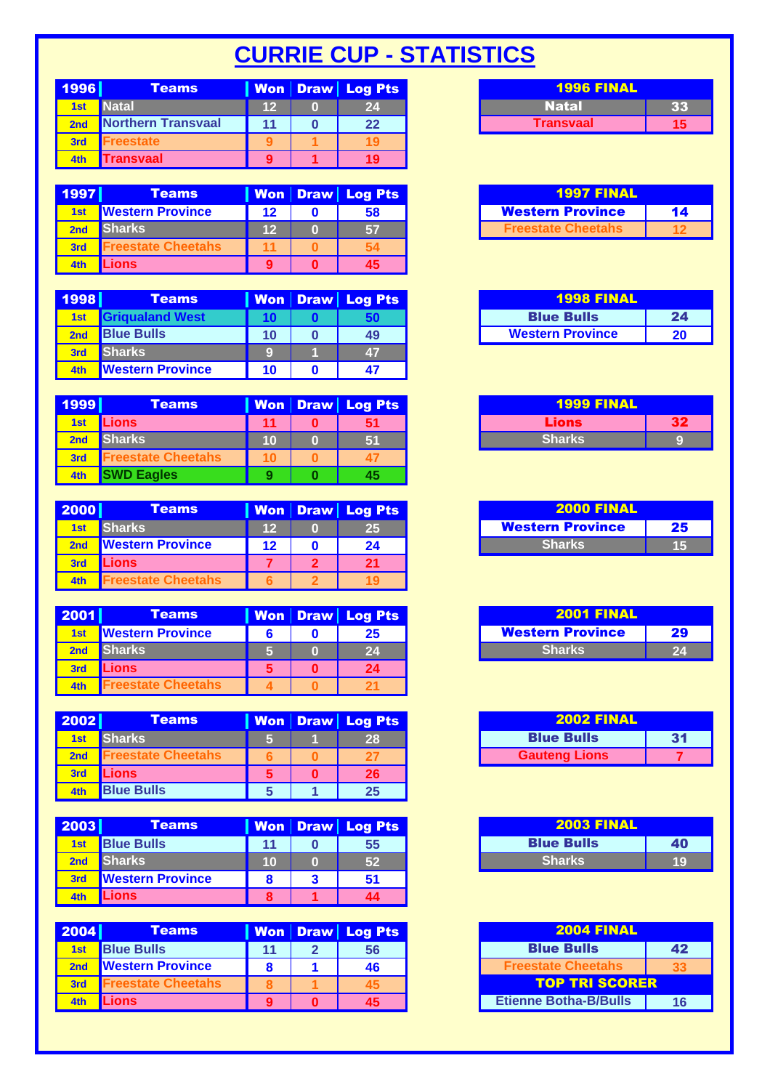## **CURRIE CUP - STATISTICS**

| 1996 | Teams              |     | Won Draw Log Pts |
|------|--------------------|-----|------------------|
| 1st  | <b>Natal</b>       | 12. | 24               |
|      | Northern Transvaal |     | 22               |
| 3rd  | eestate            |     |                  |
| 4th  | ransvaal           |     | 19               |

| 1997            | <b>Teams</b>            |         | Won Draw Log Pts | <b>1997 FINAL</b>         |    |
|-----------------|-------------------------|---------|------------------|---------------------------|----|
| 1 <sub>st</sub> | <b>Nestern Province</b> | $12 \,$ | 58               | <b>Western Province</b>   | 14 |
|                 | <b>Sharks</b>           | 12      | 67               | <b>Freestate Cheetahs</b> |    |
| 3rd             | reestate Cheetahs       |         |                  |                           |    |
| 4th             | <b>Lions</b>            |         | 45               |                           |    |

| 1998            | <b>Teams</b>            |    | <b>Won Draw Log Pts</b> | <b>1998 FINAL</b>       |    |
|-----------------|-------------------------|----|-------------------------|-------------------------|----|
| 1 <sub>st</sub> | <b>Grigualand West</b>  |    |                         | <b>Blue Bulls</b>       |    |
| 2 <sub>nd</sub> | <b>Blue Bulls</b>       | 10 | 49                      | <b>Western Province</b> | 20 |
| 3rd             | <b>Sharks</b>           |    | 47                      |                         |    |
| 4th             | <b>Western Province</b> | 10 |                         |                         |    |

| 1999       | <b>Teams</b>              |    | Won   Draw   Log Pts | <b>1999 FINAL</b> |    |
|------------|---------------------------|----|----------------------|-------------------|----|
| 1st        | <b>Lions</b>              | 11 | 51                   | Lions             | 32 |
| 2nd        | <b>Sharks</b>             | 10 | 51                   | <b>Sharks</b>     |    |
| <b>3rd</b> | <b>Freestate Cheetahs</b> |    |                      |                   |    |
| 4th        | <b>SWD Eagles</b>         |    | 45                   |                   |    |

| 2000 | <b>Teams</b>            |    | Won   Draw   Log Pts | <b>2000 FINAL</b>       |    |
|------|-------------------------|----|----------------------|-------------------------|----|
| 1st  | <b>Sharks</b>           | 12 | 25                   | <b>Western Province</b> | 25 |
|      | <b>Nestern Province</b> | 12 | 24                   | <b>Sharks</b>           | 15 |
| 3rd  | <b>Lions</b>            |    | 21                   |                         |    |
| 4th  | eestate Cheetahs        |    |                      |                         |    |

| 2001 | <b>Teams</b>            |  | Won   Draw   Log Pts | <b>2001 FINAL</b>       |    |
|------|-------------------------|--|----------------------|-------------------------|----|
| 1st  | <b>Nestern Province</b> |  | 25                   | <b>Western Province</b> | 29 |
| 2nd  | <b>Sharks</b>           |  | 24                   | <b>Sharks</b>           | 24 |
| 3rd  | Lions <sup>®</sup>      |  | 24                   |                         |    |
|      | reestate Cheetahs       |  |                      |                         |    |

| 2002            | <b>Teams</b>      |  | <b>Won Draw Log Pts</b> | <b>2002 FINAL</b>    |    |
|-----------------|-------------------|--|-------------------------|----------------------|----|
| 1 <sub>st</sub> | <b>Sharks</b>     |  | 28                      | <b>Blue Bulls</b>    | 31 |
| 2nd             | reestate Cheetahs |  |                         | <b>Gauteng Lions</b> |    |
| 3rd             | <b>Lions</b>      |  | 26 <sup>°</sup>         |                      |    |
| 4th             | <b>Blue Bulls</b> |  | 25                      |                      |    |

| 2003 | <b>Teams</b>            |    | Won Draw Log Pts | <b>2003 FINAL</b> |    |
|------|-------------------------|----|------------------|-------------------|----|
| 1st  | <b>Blue Bulls</b>       | 11 | 55               | <b>Blue Bulls</b> | 40 |
|      | <b>Sharks</b>           | 10 | 52               | <b>Sharks</b>     | 19 |
| 3rd  | <b>Western Province</b> |    | 51               |                   |    |
| 4th  | Lions                   |    | 44               |                   |    |

| 2004   | <b>Teams</b>              |  | <b>Won Draw Log Pts</b> | <b>2004 FINAL</b>            |    |  |
|--------|---------------------------|--|-------------------------|------------------------------|----|--|
| 1st    | <b>Blue Bulls</b>         |  | 56                      | <b>Blue Bulls</b>            | 42 |  |
|        | <b>Western Province</b>   |  | 46                      | <b>Freestate Cheetahs</b>    | 33 |  |
| $-3rd$ | <b>Freestate Cheetahs</b> |  |                         | <b>TOP TRI SCORER</b>        |    |  |
| 4th    | Lions                     |  | 45                      | <b>Etienne Botha-B/Bulls</b> | 16 |  |

| <b>1996 FINAL</b> |  |  |  |  |  |
|-------------------|--|--|--|--|--|
| Natal             |  |  |  |  |  |
| <b>Transvaal</b>  |  |  |  |  |  |

| <b>1997 FINAL</b>         |    |  |  |  |
|---------------------------|----|--|--|--|
| <b>Western Province</b>   | 14 |  |  |  |
| <b>Freestate Cheetahs</b> |    |  |  |  |

| <b>1998 FINAL</b>       |    |
|-------------------------|----|
| <b>Blue Bulls</b>       | 24 |
| <b>Western Province</b> | 20 |

| <b>1999 FINAL</b> |  |  |  |  |  |
|-------------------|--|--|--|--|--|
| Lions             |  |  |  |  |  |
| <b>Sharks</b>     |  |  |  |  |  |

| <b>2000 FINAL</b>       |    |  |  |  |  |
|-------------------------|----|--|--|--|--|
| <b>Western Province</b> | 25 |  |  |  |  |
| <b>Sharks</b>           | ш  |  |  |  |  |

| <b>2001 FINAL</b>              |  |  |  |  |  |
|--------------------------------|--|--|--|--|--|
| <b>Western Province</b><br>-29 |  |  |  |  |  |
| <b>Sharks</b>                  |  |  |  |  |  |

| <b>2002 FINAL</b>    |    |  |  |  |  |
|----------------------|----|--|--|--|--|
| <b>Blue Bulls</b>    | 31 |  |  |  |  |
| <b>Gauteng Lions</b> |    |  |  |  |  |

| <b>2003 FINAL</b> |     |  |  |  |  |
|-------------------|-----|--|--|--|--|
| <b>Blue Bulls</b> | 40  |  |  |  |  |
| <b>Sharks</b>     | TC. |  |  |  |  |

| <b>2004 FINAL</b>            |    |  |  |  |  |  |
|------------------------------|----|--|--|--|--|--|
| <b>Blue Bulls</b><br>42      |    |  |  |  |  |  |
| <b>Freestate Cheetahs</b>    |    |  |  |  |  |  |
| <b>TOP TRI SCORER</b>        |    |  |  |  |  |  |
| <b>Etienne Botha-B/Bulls</b> | 16 |  |  |  |  |  |